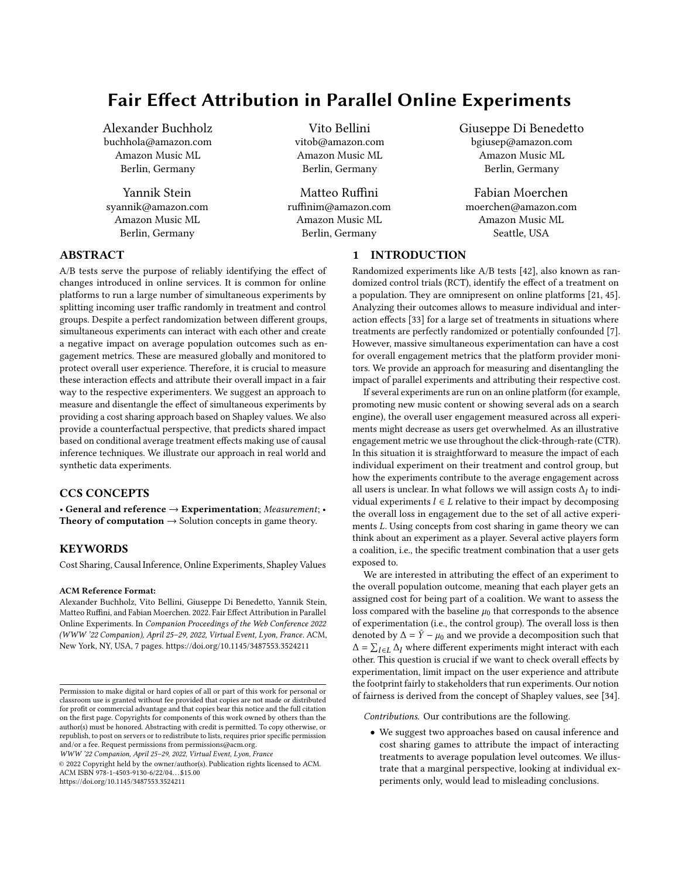# Fair Effect Attribution in Parallel Online Experiments

Alexander Buchholz buchhola@amazon.com Amazon Music ML Berlin, Germany

Yannik Stein syannik@amazon.com Amazon Music ML Berlin, Germany

Vito Bellini vitob@amazon.com Amazon Music ML Berlin, Germany

Matteo Ruffini ruffinim@amazon.com Amazon Music ML Berlin, Germany

Giuseppe Di Benedetto bgiusep@amazon.com Amazon Music ML Berlin, Germany

Fabian Moerchen moerchen@amazon.com Amazon Music ML Seattle, USA

# ABSTRACT

A/B tests serve the purpose of reliably identifying the effect of changes introduced in online services. It is common for online platforms to run a large number of simultaneous experiments by splitting incoming user traffic randomly in treatment and control groups. Despite a perfect randomization between different groups, simultaneous experiments can interact with each other and create a negative impact on average population outcomes such as engagement metrics. These are measured globally and monitored to protect overall user experience. Therefore, it is crucial to measure these interaction effects and attribute their overall impact in a fair way to the respective experimenters. We suggest an approach to measure and disentangle the effect of simultaneous experiments by providing a cost sharing approach based on Shapley values. We also provide a counterfactual perspective, that predicts shared impact based on conditional average treatment effects making use of causal inference techniques. We illustrate our approach in real world and synthetic data experiments.

# CCS CONCEPTS

• General and reference  $\rightarrow$  Experimentation; Measurement; • **Theory of computation**  $\rightarrow$  Solution concepts in game theory.

# **KEYWORDS**

Cost Sharing, Causal Inference, Online Experiments, Shapley Values

#### ACM Reference Format:

Alexander Buchholz, Vito Bellini, Giuseppe Di Benedetto, Yannik Stein, Matteo Ruffini, and Fabian Moerchen. 2022. Fair Effect Attribution in Parallel Online Experiments. In Companion Proceedings of the Web Conference 2022 (WWW '22 Companion), April 25–29, 2022, Virtual Event, Lyon, France. ACM, New York, NY, USA, [7](#page-6-0) pages.<https://doi.org/10.1145/3487553.3524211>

WWW '22 Companion, April 25–29, 2022, Virtual Event, Lyon, France

© 2022 Copyright held by the owner/author(s). Publication rights licensed to ACM. ACM ISBN 978-1-4503-9130-6/22/04. . . \$15.00

<https://doi.org/10.1145/3487553.3524211>

1 INTRODUCTION Randomized experiments like A/B tests [\[42\]](#page-4-0), also known as ran-

domized control trials (RCT), identify the effect of a treatment on a population. They are omnipresent on online platforms [\[21,](#page-4-1) [45\]](#page-4-2). Analyzing their outcomes allows to measure individual and interaction effects [\[33\]](#page-4-3) for a large set of treatments in situations where treatments are perfectly randomized or potentially confounded [\[7\]](#page-4-4). However, massive simultaneous experimentation can have a cost for overall engagement metrics that the platform provider monitors. We provide an approach for measuring and disentangling the impact of parallel experiments and attributing their respective cost.

If several experiments are run on an online platform (for example, promoting new music content or showing several ads on a search engine), the overall user engagement measured across all experiments might decrease as users get overwhelmed. As an illustrative engagement metric we use throughout the click-through-rate (CTR). In this situation it is straightforward to measure the impact of each individual experiment on their treatment and control group, but how the experiments contribute to the average engagement across all users is unclear. In what follows we will assign costs  $\Delta_l$  to individual experiments  $l \in L$  relative to their impact by decomposing the overall loss in engagement due to the set of all active experiments  $L$ . Using concepts from cost sharing in game theory we can think about an experiment as a player. Several active players form a coalition, i.e., the specific treatment combination that a user gets exposed to.

We are interested in attributing the effect of an experiment to the overall population outcome, meaning that each player gets an assigned cost for being part of a coalition. We want to assess the loss compared with the baseline  $\mu_0$  that corresponds to the absence of experimentation (i.e., the control group). The overall loss is then denoted by  $\Delta = \bar{Y} - \mu_0$  and we provide a decomposition such that  $Δ = Σ<sub>l∈L</sub> Δ<sub>l</sub>$  where different experiments might interact with each other. This question is crucial if we want to check overall effects by experimentation, limit impact on the user experience and attribute the footprint fairly to stakeholders that run experiments. Our notion of fairness is derived from the concept of Shapley values, see [\[34\]](#page-4-5).

Contributions. Our contributions are the following.

• We suggest two approaches based on causal inference and cost sharing games to attribute the impact of interacting treatments to average population level outcomes. We illustrate that a marginal perspective, looking at individual experiments only, would lead to misleading conclusions.

Permission to make digital or hard copies of all or part of this work for personal or classroom use is granted without fee provided that copies are not made or distributed for profit or commercial advantage and that copies bear this notice and the full citation on the first page. Copyrights for components of this work owned by others than the author(s) must be honored. Abstracting with credit is permitted. To copy otherwise, or republish, to post on servers or to redistribute to lists, requires prior specific permission and/or a fee. Request permissions from permissions@acm.org.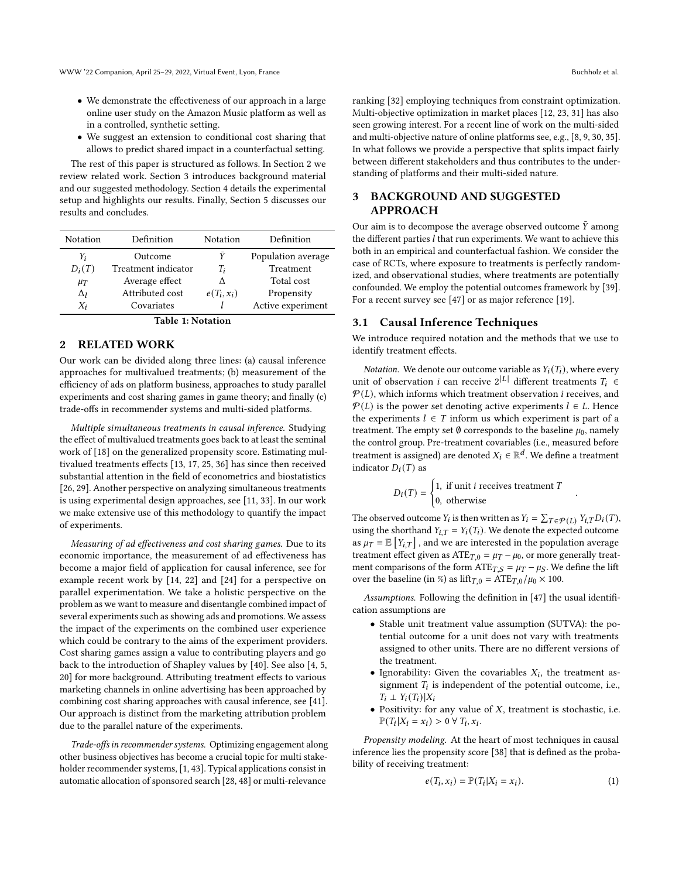- We demonstrate the effectiveness of our approach in a large online user study on the Amazon Music platform as well as in a controlled, synthetic setting.
- We suggest an extension to conditional cost sharing that allows to predict shared impact in a counterfactual setting.

The rest of this paper is structured as follows. In Section [2](#page-1-0) we review related work. Section [3](#page-1-1) introduces background material and our suggested methodology. Section [4](#page-3-0) details the experimental setup and highlights our results. Finally, Section [5](#page-3-1) discusses our results and concludes.

| Notation   | Definition          | Notation       | Definition         |
|------------|---------------------|----------------|--------------------|
| Y,         | Outcome             |                | Population average |
| $D_i(T)$   | Treatment indicator | T <sub>i</sub> | Treatment          |
| $\mu_T$    | Average effect      |                | Total cost         |
| $\Delta_I$ | Attributed cost     | $e(T_i, x_i)$  | Propensity         |
| $X_i$      | Covariates          |                | Active experiment  |



## <span id="page-1-0"></span>2 RELATED WORK

Our work can be divided along three lines: (a) causal inference approaches for multivalued treatments; (b) measurement of the efficiency of ads on platform business, approaches to study parallel experiments and cost sharing games in game theory; and finally (c) trade-offs in recommender systems and multi-sided platforms.

Multiple simultaneous treatments in causal inference. Studying the effect of multivalued treatments goes back to at least the seminal work of [\[18\]](#page-4-6) on the generalized propensity score. Estimating multivalued treatments effects [\[13,](#page-4-7) [17,](#page-4-8) [25,](#page-4-9) [36\]](#page-4-10) has since then received substantial attention in the field of econometrics and biostatistics [\[26,](#page-4-11) [29\]](#page-4-12). Another perspective on analyzing simultaneous treatments is using experimental design approaches, see [\[11,](#page-4-13) [33\]](#page-4-3). In our work we make extensive use of this methodology to quantify the impact of experiments.

Measuring of ad effectiveness and cost sharing games. Due to its economic importance, the measurement of ad effectiveness has become a major field of application for causal inference, see for example recent work by [\[14,](#page-4-14) [22\]](#page-4-15) and [\[24\]](#page-4-16) for a perspective on parallel experimentation. We take a holistic perspective on the problem as we want to measure and disentangle combined impact of several experiments such as showing ads and promotions. We assess the impact of the experiments on the combined user experience which could be contrary to the aims of the experiment providers. Cost sharing games assign a value to contributing players and go back to the introduction of Shapley values by [\[40\]](#page-4-17). See also [\[4,](#page-4-18) [5,](#page-4-19) [20\]](#page-4-20) for more background. Attributing treatment effects to various marketing channels in online advertising has been approached by combining cost sharing approaches with causal inference, see [\[41\]](#page-4-21). Our approach is distinct from the marketing attribution problem due to the parallel nature of the experiments.

Trade-offs in recommender systems. Optimizing engagement along other business objectives has become a crucial topic for multi stakeholder recommender systems, [\[1,](#page-4-22) [43\]](#page-4-23). Typical applications consist in automatic allocation of sponsored search [\[28,](#page-4-24) [48\]](#page-4-25) or multi-relevance

ranking [\[32\]](#page-4-26) employing techniques from constraint optimization. Multi-objective optimization in market places [\[12,](#page-4-27) [23,](#page-4-28) [31\]](#page-4-29) has also seen growing interest. For a recent line of work on the multi-sided and multi-objective nature of online platforms see, e.g., [\[8,](#page-4-30) [9,](#page-4-31) [30,](#page-4-32) [35\]](#page-4-33). In what follows we provide a perspective that splits impact fairly between different stakeholders and thus contributes to the understanding of platforms and their multi-sided nature.

# <span id="page-1-1"></span>3 BACKGROUND AND SUGGESTED APPROACH

Our aim is to decompose the average observed outcome  $\bar{Y}$  among the different parties  $l$  that run experiments. We want to achieve this both in an empirical and counterfactual fashion. We consider the case of RCTs, where exposure to treatments is perfectly randomized, and observational studies, where treatments are potentially confounded. We employ the potential outcomes framework by [\[39\]](#page-4-34). For a recent survey see [\[47\]](#page-4-35) or as major reference [\[19\]](#page-4-36).

### <span id="page-1-2"></span>3.1 Causal Inference Techniques

We introduce required notation and the methods that we use to identify treatment effects.

*Notation.* We denote our outcome variable as  $Y_i(T_i)$ , where every unit of observation *i* can receive  $2^{|L|}$  different treatments  $T_i \in$  $P(L)$ , which informs which treatment observation *i* receives, and  $P(L)$  is the power set denoting active experiments  $l \in L$ . Hence the experiments  $l \in T$  inform us which experiment is part of a treatment. The empty set  $\emptyset$  corresponds to the baseline  $\mu_0$ , namely the control group. Pre-treatment covariables (i.e., measured before treatment is assigned) are denoted  $X_i \in \mathbb{R}^d$ . We define a treatment indicator  $D_i(T)$  as

$$
D_i(T) = \begin{cases} 1, & \text{if unit } i \text{ receives treatment } T \\ 0, & \text{otherwise} \end{cases}
$$

.

The observed outcome  $Y_i$  is then written as  $Y_i = \sum_{T \in \mathcal{P}(L)} Y_{i,T} D_i(T)$ , using the shorthand  $Y_{i,T} = Y_i(T_i)$ . We denote the expected outcome as  $\mu_T = \mathbb{E}\left[Y_{i,T}\right]$  , and we are interested in the population average treatment effect given as  $ATE_{T,0} = \mu_T - \mu_0$ , or more generally treatment comparisons of the form  $ATE_{T,S} = \mu_T - \mu_S$ . We define the lift over the baseline (in %) as  $\text{lift}_{T,0} = \text{ATE}_{T,0}/\mu_0 \times 100$ .

Assumptions. Following the definition in [\[47\]](#page-4-35) the usual identification assumptions are

- Stable unit treatment value assumption (SUTVA): the potential outcome for a unit does not vary with treatments assigned to other units. There are no different versions of the treatment.
- Ignorability: Given the covariables  $X_i$ , the treatment assignment  $T_i$  is independent of the potential outcome, i.e.,  $T_i \perp Y_i(T_i)|X_i$
- Positivity: for any value of  $X$ , treatment is stochastic, i.e.  $\mathbb{P}(T_i|X_i=x_i)>0 \,\forall\, T_i,x_i.$

Propensity modeling. At the heart of most techniques in causal inference lies the propensity score [\[38\]](#page-4-37) that is defined as the probability of receiving treatment:

$$
e(T_i, x_i) = \mathbb{P}(T_i | X_i = x_i).
$$
 (1)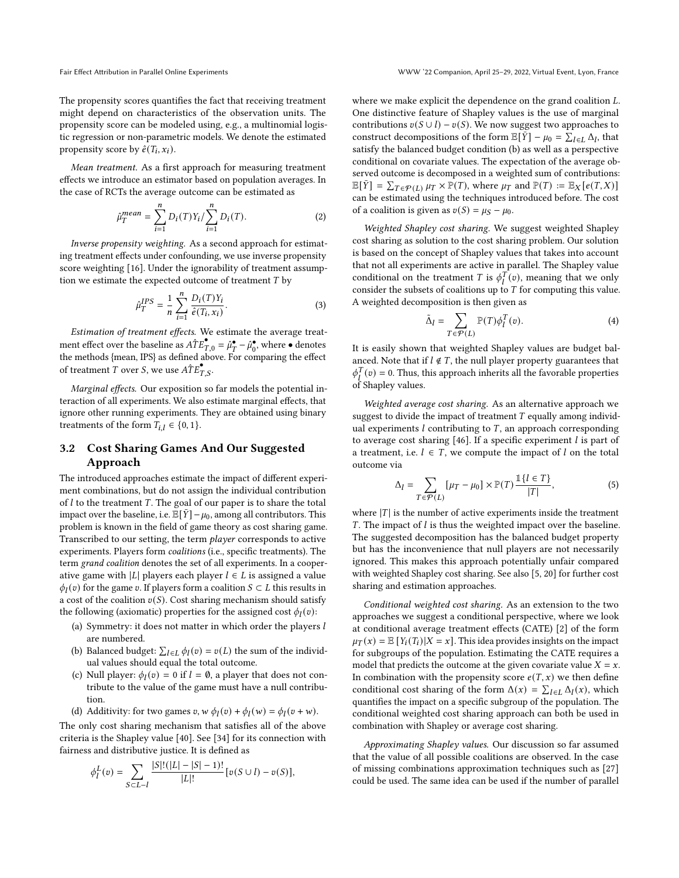The propensity scores quantifies the fact that receiving treatment might depend on characteristics of the observation units. The propensity score can be modeled using, e.g., a multinomial logistic regression or non-parametric models. We denote the estimated propensity score by  $\hat{e}(T_i, x_i)$ .

Mean treatment. As a first approach for measuring treatment effects we introduce an estimator based on population averages. In the case of RCTs the average outcome can be estimated as

$$
\hat{\mu}_T^{mean} = \sum_{i=1}^n D_i(T) Y_i / \sum_{i=1}^n D_i(T). \tag{2}
$$

Inverse propensity weighting. As a second approach for estimating treatment effects under confounding, we use inverse propensity score weighting [\[16\]](#page-4-38). Under the ignorability of treatment assumption we estimate the expected outcome of treatment  $T$  by

$$
\hat{\mu}_T^{IPS} = \frac{1}{n} \sum_{i=1}^n \frac{D_i(T)Y_i}{\hat{e}(T_i, x_i)}.
$$
\n(3)

Estimation of treatment effects. We estimate the average treatment effect over the baseline as  $\hat{ATE}_{T,0}^{\bullet} = \hat{\mu}_T^{\bullet} - \hat{\mu}_0^{\bullet}$ , where  $\bullet$  denotes the methods {mean, IPS} as defined above. For comparing the effect of treatment T over S, we use  $\hat{ATE}_{TS}^{\bullet}$ .

Marginal effects. Our exposition so far models the potential interaction of all experiments. We also estimate marginal effects, that ignore other running experiments. They are obtained using binary treatments of the form  $T_{i,l} \in \{0, 1\}.$ 

# 3.2 Cost Sharing Games And Our Suggested Approach

The introduced approaches estimate the impact of different experiment combinations, but do not assign the individual contribution of  $l$  to the treatment  $T$ . The goal of our paper is to share the total impact over the baseline, i.e.  $\mathbb{E}[\bar{Y}] - \mu_0$ , among all contributors. This problem is known in the field of game theory as cost sharing game. Transcribed to our setting, the term player corresponds to active experiments. Players form coalitions (i.e., specific treatments). The term grand coalition denotes the set of all experiments. In a cooperative game with |L| players each player  $l \in L$  is assigned a value  $\phi_l(v)$  for the game v. If players form a coalition  $S \subset L$  this results in a cost of the coalition  $v(S)$ . Cost sharing mechanism should satisfy the following (axiomatic) properties for the assigned cost  $\phi_l(v)$ :

- (a) Symmetry: it does not matter in which order the players  $l$ are numbered.
- (b) Balanced budget:  $\sum_{l \in L} \phi_l(v) = v(L)$  the sum of the individual values should equal the total outcome.
- (c) Null player:  $\phi_l(v) = 0$  if  $l = \emptyset$ , a player that does not contribute to the value of the game must have a null contribution.
- (d) Additivity: for two games  $v, w \phi_l(v) + \phi_l(w) = \phi_l(v + w)$ .

The only cost sharing mechanism that satisfies all of the above criteria is the Shapley value [\[40\]](#page-4-17). See [\[34\]](#page-4-5) for its connection with fairness and distributive justice. It is defined as

$$
\phi^L_l(v) = \sum_{S \subset L - l} \frac{|S|!(|L|-|S|-1)!}{|L|!} [v(S \cup l) - v(S)],
$$

where we make explicit the dependence on the grand coalition  $L$ . One distinctive feature of Shapley values is the use of marginal contributions  $v(S \cup l) - v(S)$ . We now suggest two approaches to construct decompositions of the form  $\mathbb{E}[\bar{Y}] - \mu_0 = \sum_{l \in L} \Delta_l$ , that satisfy the balanced budget condition (b) as well as a perspective conditional on covariate values. The expectation of the average observed outcome is decomposed in a weighted sum of contributions:  $\mathbb{E}[\bar{Y}] = \sum_{T \in \mathcal{P}(L)} \mu_T \times \mathbb{P}(T)$ , where  $\mu_T$  and  $\mathbb{P}(T) := \mathbb{E}_X[e(T, X)]$ can be estimated using the techniques introduced before. The cost of a coalition is given as  $v(S) = \mu_S - \mu_0$ .

Weighted Shapley cost sharing. We suggest weighted Shapley cost sharing as solution to the cost sharing problem. Our solution is based on the concept of Shapley values that takes into account that not all experiments are active in parallel. The Shapley value conditional on the treatment T is  $\phi_l^T(v)$ , meaning that we only consider the subsets of coalitions up to  $T$  for computing this value. A weighted decomposition is then given as

$$
\tilde{\Delta}_l = \sum_{T \in \mathcal{P}(L)} \mathbb{P}(T) \phi_l^T(v). \tag{4}
$$

It is easily shown that weighted Shapley values are budget balanced. Note that if  $l \notin T$ , the null player property guarantees that  $\phi_l^T(v) = 0$ . Thus, this approach inherits all the favorable properties of Shapley values.

Weighted average cost sharing. As an alternative approach we suggest to divide the impact of treatment  $T$  equally among individual experiments  $l$  contributing to  $T$ , an approach corresponding to average cost sharing  $[46]$ . If a specific experiment  $l$  is part of a treatment, i.e.  $l \in T$ , we compute the impact of l on the total outcome via

$$
\Delta_l = \sum_{T \in \mathcal{P}(L)} [\mu_T - \mu_0] \times \mathbb{P}(T) \frac{\mathbb{1}\{l \in T\}}{|T|},\tag{5}
$$

where  $|T|$  is the number of active experiments inside the treatment  $T$ . The impact of  $l$  is thus the weighted impact over the baseline. The suggested decomposition has the balanced budget property but has the inconvenience that null players are not necessarily ignored. This makes this approach potentially unfair compared with weighted Shapley cost sharing. See also [\[5,](#page-4-19) [20\]](#page-4-20) for further cost sharing and estimation approaches.

Conditional weighted cost sharing. As an extension to the two approaches we suggest a conditional perspective, where we look at conditional average treatment effects (CATE) [\[2\]](#page-4-40) of the form  $\mu_T(x) = \mathbb{E}[Y_i(T_i)|X = x]$ . This idea provides insights on the impact for subgroups of the population. Estimating the CATE requires a model that predicts the outcome at the given covariate value  $X = x$ . In combination with the propensity score  $e(T, x)$  we then define conditional cost sharing of the form  $\Delta(x) = \sum_{l \in L} \Delta_l(x)$ , which quantifies the impact on a specific subgroup of the population. The conditional weighted cost sharing approach can both be used in combination with Shapley or average cost sharing.

Approximating Shapley values. Our discussion so far assumed that the value of all possible coalitions are observed. In the case of missing combinations approximation techniques such as [\[27\]](#page-4-41) could be used. The same idea can be used if the number of parallel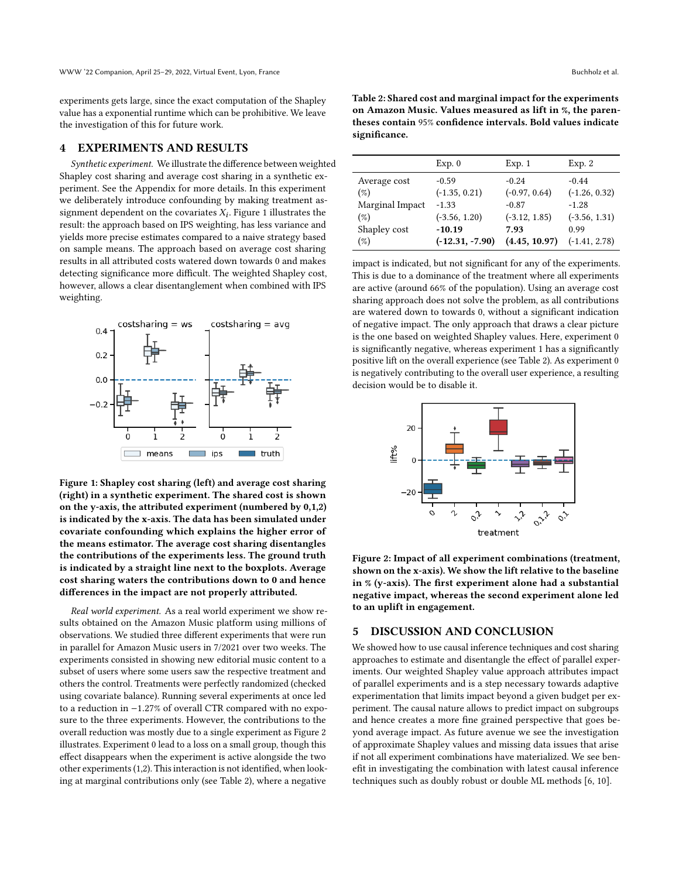experiments gets large, since the exact computation of the Shapley value has a exponential runtime which can be prohibitive. We leave the investigation of this for future work.

#### <span id="page-3-0"></span>4 EXPERIMENTS AND RESULTS

Synthetic experiment. We illustrate the difference between weighted Shapley cost sharing and average cost sharing in a synthetic experiment. See the Appendix for more details. In this experiment we deliberately introduce confounding by making treatment assignment dependent on the covariates  $X_i$ . Figure [1](#page-3-2) illustrates the result: the approach based on IPS weighting, has less variance and yields more precise estimates compared to a naive strategy based on sample means. The approach based on average cost sharing results in all attributed costs watered down towards 0 and makes detecting significance more difficult. The weighted Shapley cost, however, allows a clear disentanglement when combined with IPS weighting.

<span id="page-3-2"></span>

Figure 1: Shapley cost sharing (left) and average cost sharing (right) in a synthetic experiment. The shared cost is shown on the y-axis, the attributed experiment (numbered by 0,1,2) is indicated by the x-axis. The data has been simulated under covariate confounding which explains the higher error of the means estimator. The average cost sharing disentangles the contributions of the experiments less. The ground truth is indicated by a straight line next to the boxplots. Average cost sharing waters the contributions down to 0 and hence differences in the impact are not properly attributed.

Real world experiment. As a real world experiment we show results obtained on the Amazon Music platform using millions of observations. We studied three different experiments that were run in parallel for Amazon Music users in 7/2021 over two weeks. The experiments consisted in showing new editorial music content to a subset of users where some users saw the respective treatment and others the control. Treatments were perfectly randomized (checked using covariate balance). Running several experiments at once led to a reduction in −1.27% of overall CTR compared with no exposure to the three experiments. However, the contributions to the overall reduction was mostly due to a single experiment as Figure [2](#page-3-3) illustrates. Experiment 0 lead to a loss on a small group, though this effect disappears when the experiment is active alongside the two other experiments (1,2). This interaction is not identified, when looking at marginal contributions only (see Table [2\)](#page-3-4), where a negative

<span id="page-3-4"></span>Table 2: Shared cost and marginal impact for the experiments on Amazon Music. Values measured as lift in %, the parentheses contain 95% confidence intervals. Bold values indicate significance.

|                 | Exp. 0            | Exp. 1          | Exp. 2          |
|-----------------|-------------------|-----------------|-----------------|
| Average cost    | $-0.59$           | $-0.24$         | $-0.44$         |
| $(\%)$          | $(-1.35, 0.21)$   | $(-0.97, 0.64)$ | $(-1.26, 0.32)$ |
| Marginal Impact | $-1.33$           | $-0.87$         | $-1.28$         |
| $(\%)$          | $(-3.56, 1.20)$   | $(-3.12, 1.85)$ | $(-3.56, 1.31)$ |
| Shapley cost    | $-10.19$          | 7.93            | 0.99            |
| $(\%)$          | $(-12.31, -7.90)$ | (4.45, 10.97)   | $(-1.41, 2.78)$ |

impact is indicated, but not significant for any of the experiments. This is due to a dominance of the treatment where all experiments are active (around 66% of the population). Using an average cost sharing approach does not solve the problem, as all contributions are watered down to towards 0, without a significant indication of negative impact. The only approach that draws a clear picture is the one based on weighted Shapley values. Here, experiment 0 is significantly negative, whereas experiment 1 has a significantly positive lift on the overall experience (see Table [2\)](#page-3-4). As experiment 0 is negatively contributing to the overall user experience, a resulting decision would be to disable it.

<span id="page-3-3"></span>

Figure 2: Impact of all experiment combinations (treatment, shown on the x-axis). We show the lift relative to the baseline in % (y-axis). The first experiment alone had a substantial negative impact, whereas the second experiment alone led to an uplift in engagement.

### <span id="page-3-1"></span>5 DISCUSSION AND CONCLUSION

We showed how to use causal inference techniques and cost sharing approaches to estimate and disentangle the effect of parallel experiments. Our weighted Shapley value approach attributes impact of parallel experiments and is a step necessary towards adaptive experimentation that limits impact beyond a given budget per experiment. The causal nature allows to predict impact on subgroups and hence creates a more fine grained perspective that goes beyond average impact. As future avenue we see the investigation of approximate Shapley values and missing data issues that arise if not all experiment combinations have materialized. We see benefit in investigating the combination with latest causal inference techniques such as doubly robust or double ML methods [\[6,](#page-4-42) [10\]](#page-4-43).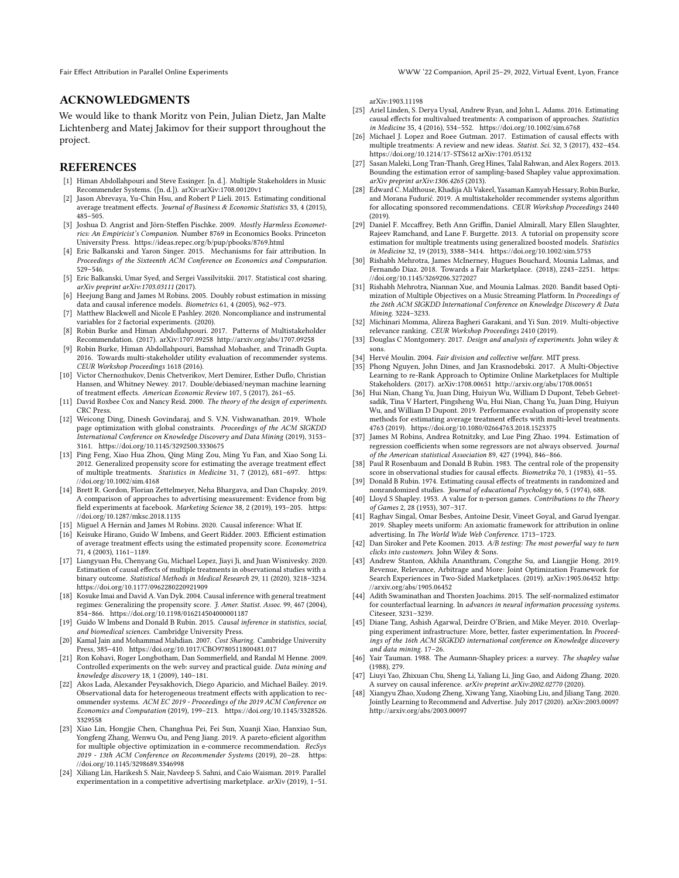Fair Effect Attribution in Parallel Online Experiments WWW '22 Companion, April 25–29, 2022, Virtual Event, Lyon, France

## ACKNOWLEDGMENTS

We would like to thank Moritz von Pein, Julian Dietz, Jan Malte Lichtenberg and Matej Jakimov for their support throughout the project.

#### **REFERENCES**

- <span id="page-4-22"></span>[1] Himan Abdollahpouri and Steve Essinger. [n. d.]. Multiple Stakeholders in Music Recommender Systems. ([n. d.]). arXiv[:arXiv:1708.00120v1](https://arxiv.org/abs/arXiv:1708.00120v1)
- <span id="page-4-40"></span>[2] Jason Abrevaya, Yu-Chin Hsu, and Robert P Lieli. 2015. Estimating conditional average treatment effects. Journal of Business & Economic Statistics 33, 4 (2015), 485–505.
- <span id="page-4-44"></span>[3] Joshua D. Angrist and Jörn-Steffen Pischke. 2009. Mostly Harmless Econometrics: An Empiricist's Companion. Number 8769 in Economics Books. Princeton University Press.<https://ideas.repec.org/b/pup/pbooks/8769.html>
- <span id="page-4-18"></span>[4] Eric Balkanski and Yaron Singer. 2015. Mechanisms for fair attribution. In Proceedings of the Sixteenth ACM Conference on Economics and Computation. 529–546.
- <span id="page-4-19"></span>[5] Eric Balkanski, Umar Syed, and Sergei Vassilvitskii. 2017. Statistical cost sharing. arXiv preprint arXiv:1703.03111 (2017).
- <span id="page-4-42"></span>[6] Heejung Bang and James M Robins. 2005. Doubly robust estimation in missing data and causal inference models. Biometrics 61, 4 (2005), 962–973.
- <span id="page-4-4"></span>[7] Matthew Blackwell and Nicole E Pashley. 2020. Noncompliance and instrumental variables for 2 factorial experiments. (2020).
- <span id="page-4-30"></span>[8] Robin Burke and Himan Abdollahpouri. 2017. Patterns of Multistakeholder Recommendation. (2017). arXiv[:1707.09258](https://arxiv.org/abs/1707.09258)<http://arxiv.org/abs/1707.09258>
- <span id="page-4-31"></span>[9] Robin Burke, Himan Abdollahpouri, Bamshad Mobasher, and Trinadh Gupta. 2016. Towards multi-stakeholder utility evaluation of recommender systems. CEUR Workshop Proceedings 1618 (2016).
- <span id="page-4-43"></span>[10] Victor Chernozhukov, Denis Chetverikov, Mert Demirer, Esther Duflo, Christian Hansen, and Whitney Newey. 2017. Double/debiased/neyman machine learning of treatment effects. American Economic Review 107, 5 (2017), 261–65.
- <span id="page-4-13"></span>[11] David Roxbee Cox and Nancy Reid. 2000. The theory of the design of experiments. CRC Press.
- <span id="page-4-27"></span>[12] Weicong Ding, Dinesh Govindaraj, and S. V.N. Vishwanathan. 2019. Whole page optimization with global constraints. Proceedings of the ACM SIGKDD International Conference on Knowledge Discovery and Data Mining (2019), 3153– 3161.<https://doi.org/10.1145/3292500.3330675>
- <span id="page-4-7"></span>[13] Ping Feng, Xiao Hua Zhou, Qing Ming Zou, Ming Yu Fan, and Xiao Song Li. 2012. Generalized propensity score for estimating the average treatment effect of multiple treatments. Statistics in Medicine 31, 7 (2012), 681–697. [https:](https://doi.org/10.1002/sim.4168) [//doi.org/10.1002/sim.4168](https://doi.org/10.1002/sim.4168)
- <span id="page-4-14"></span>[14] Brett R. Gordon, Florian Zettelmeyer, Neha Bhargava, and Dan Chapsky. 2019. A comparison of approaches to advertising measurement: Evidence from big field experiments at facebook. Marketing Science 38, 2 (2019), 193–205. [https:](https://doi.org/10.1287/mksc.2018.1135) [//doi.org/10.1287/mksc.2018.1135](https://doi.org/10.1287/mksc.2018.1135)
- <span id="page-4-47"></span>[15] Miguel A Hernán and James M Robins. 2020. Causal inference: What If.
- <span id="page-4-38"></span>[16] Keisuke Hirano, Guido W Imbens, and Geert Ridder. 2003. Efficient estimation of average treatment effects using the estimated propensity score. Econometrica 71, 4 (2003), 1161–1189.
- <span id="page-4-8"></span>[17] Liangyuan Hu, Chenyang Gu, Michael Lopez, Jiayi Ji, and Juan Wisnivesky. 2020. Estimation of causal effects of multiple treatments in observational studies with a binary outcome. Statistical Methods in Medical Research 29, 11 (2020), 3218–3234. <https://doi.org/10.1177/0962280220921909>
- <span id="page-4-6"></span>[18] Kosuke Imai and David A. Van Dyk. 2004. Causal inference with general treatment regimes: Generalizing the propensity score. J. Amer. Statist. Assoc. 99, 467 (2004), 854–866.<https://doi.org/10.1198/016214504000001187>
- <span id="page-4-36"></span>[19] Guido W Imbens and Donald B Rubin. 2015. Causal inference in statistics, social, and biomedical sciences. Cambridge University Press.
- <span id="page-4-20"></span>[20] Kamal Jain and Mohammad Mahdian. 2007. Cost Sharing. Cambridge University Press, 385–410.<https://doi.org/10.1017/CBO9780511800481.017>
- <span id="page-4-1"></span>[21] Ron Kohavi, Roger Longbotham, Dan Sommerfield, and Randal M Henne. 2009. Controlled experiments on the web: survey and practical guide. Data mining and knowledge discovery 18, 1 (2009), 140–181.
- <span id="page-4-15"></span>[22] Akos Lada, Alexander Peysakhovich, Diego Aparicio, and Michael Bailey. 2019. Observational data for heterogeneous treatment effects with application to recommender systems. ACM EC 2019 - Proceedings of the 2019 ACM Conference on Economics and Computation (2019), 199–213. [https://doi.org/10.1145/3328526.](https://doi.org/10.1145/3328526.3329558) [3329558](https://doi.org/10.1145/3328526.3329558)
- <span id="page-4-28"></span>[23] Xiao Lin, Hongjie Chen, Changhua Pei, Fei Sun, Xuanji Xiao, Hanxiao Sun, Yongfeng Zhang, Wenwu Ou, and Peng Jiang. 2019. A pareto-eficient algorithm for multiple objective optimization in e-commerce recommendation. RecSys 2019 - 13th ACM Conference on Recommender Systems (2019), 20–28. [https:](https://doi.org/10.1145/3298689.3346998) [//doi.org/10.1145/3298689.3346998](https://doi.org/10.1145/3298689.3346998)
- <span id="page-4-16"></span>[24] Xiliang Lin, Harikesh S. Nair, Navdeep S. Sahni, and Caio Waisman. 2019. Parallel experimentation in a competitive advertising marketplace. arXiv (2019), 1–51.

arXiv[:1903.11198](https://arxiv.org/abs/1903.11198)

- <span id="page-4-9"></span>[25] Ariel Linden, S. Derya Uysal, Andrew Ryan, and John L. Adams. 2016. Estimating causal effects for multivalued treatments: A comparison of approaches. Statistics in Medicine 35, 4 (2016), 534–552.<https://doi.org/10.1002/sim.6768>
- <span id="page-4-11"></span>[26] Michael J. Lopez and Roee Gutman. 2017. Estimation of causal effects with multiple treatments: A review and new ideas. Statist. Sci. 32, 3 (2017), 432–454. <https://doi.org/10.1214/17-STS612> arXiv[:1701.05132](https://arxiv.org/abs/1701.05132)
- <span id="page-4-41"></span>[27] Sasan Maleki, Long Tran-Thanh, Greg Hines, Talal Rahwan, and Alex Rogers. 2013. Bounding the estimation error of sampling-based Shapley value approximation. arXiv preprint arXiv:1306.4265 (2013).
- <span id="page-4-24"></span>[28] Edward C. Malthouse, Khadija Ali Vakeel, Yasaman Kamyab Hessary, Robin Burke, and Morana Fudurić. 2019. A multistakeholder recommender systems algorithm for allocating sponsored recommendations. CEUR Workshop Proceedings 2440  $(2019)$
- <span id="page-4-12"></span>[29] Daniel F. Mccaffrey, Beth Ann Griffin, Daniel Almirall, Mary Ellen Slaughter, Rajeev Ramchand, and Lane F. Burgette. 2013. A tutorial on propensity score estimation for multiple treatments using generalized boosted models. Statistics in Medicine 32, 19 (2013), 3388–3414.<https://doi.org/10.1002/sim.5753>
- <span id="page-4-32"></span>[30] Rishabh Mehrotra, James McInerney, Hugues Bouchard, Mounia Lalmas, and Fernando Diaz. 2018. Towards a Fair Marketplace. (2018), 2243–2251. [https:](https://doi.org/10.1145/3269206.3272027) [//doi.org/10.1145/3269206.3272027](https://doi.org/10.1145/3269206.3272027)
- <span id="page-4-29"></span>[31] Rishabh Mehrotra, Niannan Xue, and Mounia Lalmas. 2020. Bandit based Optimization of Multiple Objectives on a Music Streaming Platform. In Proceedings of the 26th ACM SIGKDD International Conference on Knowledge Discovery & Data Mining. 3224–3233.
- <span id="page-4-26"></span>[32] Michinari Momma, Alireza Bagheri Garakani, and Yi Sun. 2019. Multi-objective relevance ranking. CEUR Workshop Proceedings 2410 (2019).
- <span id="page-4-3"></span>[33] Douglas C Montgomery. 2017. Design and analysis of experiments. John wiley & sons.
- <span id="page-4-5"></span>[34] Hervé Moulin. 2004. Fair division and collective welfare. MIT press.
- <span id="page-4-33"></span>[35] Phong Nguyen, John Dines, and Jan Krasnodebski. 2017. A Multi-Objective Learning to re-Rank Approach to Optimize Online Marketplaces for Multiple Stakeholders. (2017). arXiv[:1708.00651](https://arxiv.org/abs/1708.00651)<http://arxiv.org/abs/1708.00651>
- <span id="page-4-10"></span>[36] Hui Nian, Chang Yu, Juan Ding, Huiyun Wu, William D Dupont, Tebeb Gebretsadik, Tina V Hartert, Pingsheng Wu, Hui Nian, Chang Yu, Juan Ding, Huiyun Wu, and William D Dupont. 2019. Performance evaluation of propensity score methods for estimating average treatment effects with multi-level treatments. 4763 (2019).<https://doi.org/10.1080/02664763.2018.1523375>
- <span id="page-4-46"></span>[37] James M Robins, Andrea Rotnitzky, and Lue Ping Zhao. 1994. Estimation of regression coefficients when some regressors are not always observed. Journal of the American statistical Association 89, 427 (1994), 846–866.
- <span id="page-4-37"></span>[38] Paul R Rosenbaum and Donald B Rubin. 1983. The central role of the propensity score in observational studies for causal effects. Biometrika 70, 1 (1983), 41–55.
- <span id="page-4-34"></span>[39] Donald B Rubin. 1974. Estimating causal effects of treatments in randomized and nonrandomized studies. Journal of educational Psychology 66, 5 (1974), 688.
- <span id="page-4-17"></span>[40] Lloyd S Shapley. 1953. A value for n-person games. Contributions to the Theory of Games 2, 28 (1953), 307–317.
- <span id="page-4-21"></span>[41] Raghav Singal, Omar Besbes, Antoine Desir, Vineet Goyal, and Garud Iyengar. 2019. Shapley meets uniform: An axiomatic framework for attribution in online advertising. In The World Wide Web Conference. 1713–1723.
- <span id="page-4-0"></span>[42] Dan Siroker and Pete Koomen. 2013. A/B testing: The most powerful way to turn clicks into customers. John Wiley & Sons.
- <span id="page-4-23"></span>[43] Andrew Stanton, Akhila Ananthram, Congzhe Su, and Liangjie Hong. 2019. Revenue, Relevance, Arbitrage and More: Joint Optimization Framework for Search Experiences in Two-Sided Marketplaces. (2019). arXiv[:1905.06452](https://arxiv.org/abs/1905.06452) [http:](http://arxiv.org/abs/1905.06452) [//arxiv.org/abs/1905.06452](http://arxiv.org/abs/1905.06452)
- <span id="page-4-45"></span>[44] Adith Swaminathan and Thorsten Joachims. 2015. The self-normalized estimator for counterfactual learning. In advances in neural information processing systems. Citeseer, 3231–3239.
- <span id="page-4-2"></span>[45] Diane Tang, Ashish Agarwal, Deirdre O'Brien, and Mike Meyer. 2010. Overlapping experiment infrastructure: More, better, faster experimentation. In Proceedings of the 16th ACM SIGKDD international conference on Knowledge discovery and data mining. 17–26.
- <span id="page-4-39"></span>[46] Yair Tauman. 1988. The Aumann-Shapley prices: a survey. The shapley value (1988), 279.
- <span id="page-4-35"></span>[47] Liuyi Yao, Zhixuan Chu, Sheng Li, Yaliang Li, Jing Gao, and Aidong Zhang. 2020. A survey on causal inference. arXiv preprint arXiv:2002.02770 (2020).
- <span id="page-4-25"></span>[48] Xiangyu Zhao, Xudong Zheng, Xiwang Yang, Xiaobing Liu, and Jiliang Tang. 2020. Jointly Learning to Recommend and Advertise. July 2017 (2020). arXiv[:2003.00097](https://arxiv.org/abs/2003.00097) <http://arxiv.org/abs/2003.00097>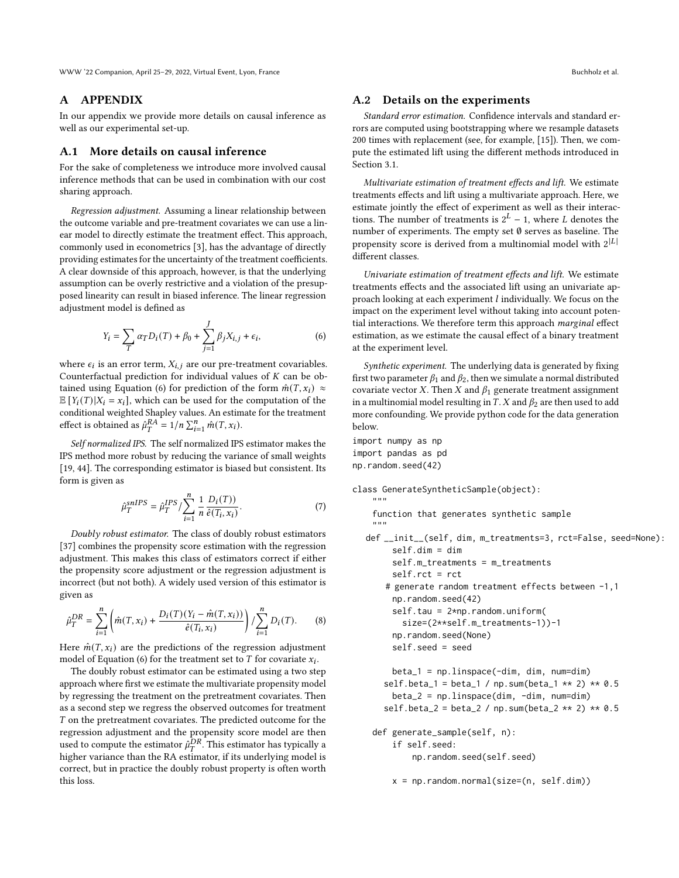WWW '22 Companion, April 25–29, 2022, Virtual Event, Lyon, France Buchholz et al. Buchholz et al.

### A APPENDIX

In our appendix we provide more details on causal inference as well as our experimental set-up.

## A.1 More details on causal inference

For the sake of completeness we introduce more involved causal inference methods that can be used in combination with our cost sharing approach.

Regression adjustment. Assuming a linear relationship between the outcome variable and pre-treatment covariates we can use a linear model to directly estimate the treatment effect. This approach, commonly used in econometrics [\[3\]](#page-4-44), has the advantage of directly providing estimates for the uncertainty of the treatment coefficients. A clear downside of this approach, however, is that the underlying assumption can be overly restrictive and a violation of the presupposed linearity can result in biased inference. The linear regression adjustment model is defined as

<span id="page-5-0"></span>
$$
Y_i = \sum_{T} \alpha_T D_i(T) + \beta_0 + \sum_{j=1}^{J} \beta_j X_{i,j} + \epsilon_i,
$$
 (6)

where  $\epsilon_i$  is an error term,  $X_{i,j}$  are our pre-treatment covariables. Counterfactual prediction for individual values of  $K$  can be ob-tained using Equation [\(6\)](#page-5-0) for prediction of the form  $\hat{m}(T, x_i) \approx$  $\mathbb{E}[Y_i(T)|X_i = x_i]$ , which can be used for the computation of the conditional weighted Shapley values. An estimate for the treatment effect is obtained as  $\hat{\mu}_T^{RA} = 1/n \sum_{i=1}^n \hat{m}(T, x_i)$ .

Self normalized IPS. The self normalized IPS estimator makes the IPS method more robust by reducing the variance of small weights [\[19,](#page-4-36) [44\]](#page-4-45). The corresponding estimator is biased but consistent. Its form is given as

$$
\hat{\mu}_T^{snIPS} = \hat{\mu}_T^{IPS} / \sum_{i=1}^n \frac{1}{n} \frac{D_i(T)}{\hat{e}(T_i, x_i)}.
$$
\n(7)

Doubly robust estimator. The class of doubly robust estimators [\[37\]](#page-4-46) combines the propensity score estimation with the regression adjustment. This makes this class of estimators correct if either the propensity score adjustment or the regression adjustment is incorrect (but not both). A widely used version of this estimator is given as

$$
\hat{\mu}_T^{DR} = \sum_{i=1}^n \left( \hat{m}(T, x_i) + \frac{D_i(T)(Y_i - \hat{m}(T, x_i))}{\hat{e}(T_i, x_i)} \right) / \sum_{i=1}^n D_i(T). \tag{8}
$$

Here  $\hat{m}(T, x_i)$  are the predictions of the regression adjustment model of Equation [\(6\)](#page-5-0) for the treatment set to  $T$  for covariate  $x_i$ .

The doubly robust estimator can be estimated using a two step approach where first we estimate the multivariate propensity model by regressing the treatment on the pretreatment covariates. Then as a second step we regress the observed outcomes for treatment  $T$  on the pretreatment covariates. The predicted outcome for the regression adjustment and the propensity score model are then used to compute the estimator  $\hat{\mu}_T^{DR}$ . This estimator has typically a higher variance than the RA estimator, if its underlying model is correct, but in practice the doubly robust property is often worth this loss.

## A.2 Details on the experiments

Standard error estimation. Confidence intervals and standard errors are computed using bootstrapping where we resample datasets 200 times with replacement (see, for example, [\[15\]](#page-4-47)). Then, we compute the estimated lift using the different methods introduced in Section [3.1.](#page-1-2)

Multivariate estimation of treatment effects and lift. We estimate treatments effects and lift using a multivariate approach. Here, we estimate jointly the effect of experiment as well as their interactions. The number of treatments is  $2^L - 1$ , where L denotes the number of experiments. The empty set ∅ serves as baseline. The propensity score is derived from a multinomial model with  $2^{|L|}$ different classes.

Univariate estimation of treatment effects and lift. We estimate treatments effects and the associated lift using an univariate approach looking at each experiment  $l$  individually. We focus on the impact on the experiment level without taking into account potential interactions. We therefore term this approach marginal effect estimation, as we estimate the causal effect of a binary treatment at the experiment level.

Synthetic experiment. The underlying data is generated by fixing first two parameter  $\beta_1$  and  $\beta_2$ , then we simulate a normal distributed covariate vector  $X$ . Then  $X$  and  $\beta_1$  generate treatment assignment in a multinomial model resulting in  $T$ .  $X$  and  $\beta_2$  are then used to add more confounding. We provide python code for the data generation below.

```
import numpy as np
import pandas as pd
np.random.seed(42)
```
"" "

```
class GenerateSyntheticSample(object):
```
function that generates synthetic sample """

```
def __init__(self, dim, m_treatments=3, rct=False, seed=None):
     self.dim = dim
     self.m_treatments = m_treatments
     self.rct = rct
    # generate random treatment effects between -1,1
     np.random.seed(42)
     self.tau = 2<sup>*</sup>np.random.uniform(size=(2**self.m_treatments-1))-1
     np.random.seed(None)
     self.seed = seed
```

```
beta_1 = np.linspace(-dim, dim, num=dim)
self.beta_1 = beta_1 / np.sum(beta_1 ** 2) ** 0.5beta_2 = npuinspace(dim, -dim, num=dim)
self.beta_2 = beta_2 / np.sum(beta_2 ** 2) ** 0.5
```

```
def generate_sample(self, n):
    if self.seed:
        np.random.seed(self.seed)
```
 $x = np.random.normal(size=(n, self.dim))$